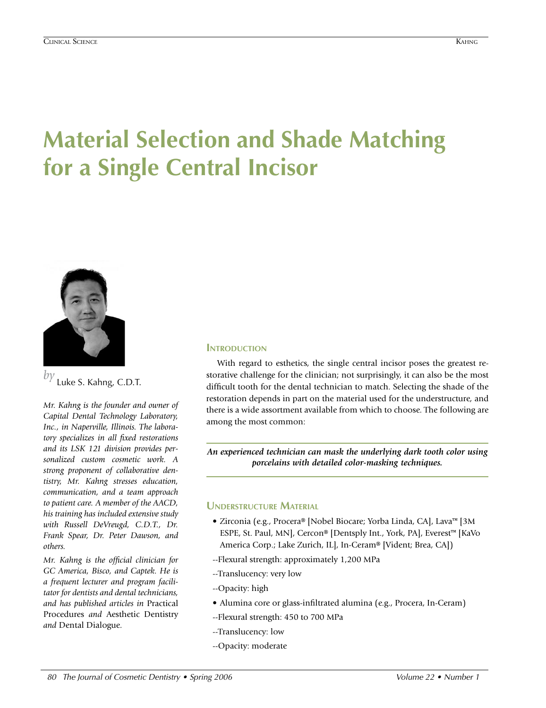# **Material Selection and Shade Matching for a Single Central Incisor**



*by* Luke S. Kahng, C.D.T.

*Mr. Kahng is the founder and owner of Capital Dental Technology Laboratory, Inc., in Naperville, Illinois. The laboratory specializes in all fixed restorations and its LSK 121 division provides personalized custom cosmetic work. A strong proponent of collaborative dentistry, Mr. Kahng stresses education, communication, and a team approach to patient care. A member of the AACD, his training has included extensive study with Russell DeVreugd, C.D.T., Dr. Frank Spear, Dr. Peter Dawson, and others.* 

*Mr. Kahng is the official clinician for GC America, Bisco, and Captek. He is a frequent lecturer and program facilitator for dentists and dental technicians, and has published articles in* Practical Procedures *and* Aesthetic Dentistry *and* Dental Dialogue*.*

## **INTRODUCTION**

With regard to esthetics, the single central incisor poses the greatest restorative challenge for the clinician; not surprisingly, it can also be the most difficult tooth for the dental technician to match. Selecting the shade of the restoration depends in part on the material used for the understructure, and there is a wide assortment available from which to choose. The following are among the most common:

*An experienced technician can mask the underlying dark tooth color using porcelains with detailed color-masking techniques.*

## **Understructure Material**

- Zirconia (e.g., Procera® [Nobel Biocare; Yorba Linda, CA], Lava™ [3M ESPE, St. Paul, MN], Cercon® [Dentsply Int., York, PA], Everest™ [KaVo America Corp.; Lake Zurich, IL], In-Ceram® [Vident; Brea, CA])
- --Flexural strength: approximately 1,200 MPa
- --Translucency: very low
- --Opacity: high
- Alumina core or glass-infiltrated alumina (e.g., Procera, In-Ceram)
- --Flexural strength: 450 to 700 MPa
- --Translucency: low
- --Opacity: moderate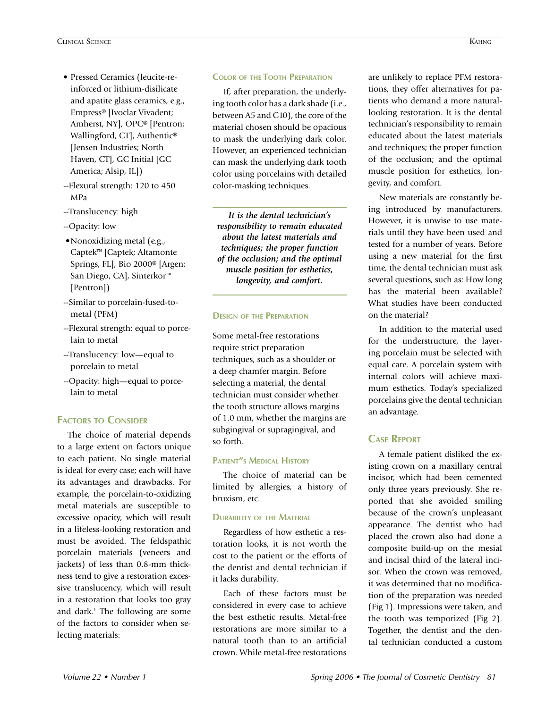- Pressed Ceramics (leucite-reinforced or lithium-disilicate and apatite glass ceramics, e.g., Empress® [Ivoclar Vivadent; Amherst, NY], OPC® [Pentron; Wallingford, CT], Authentic® [Jensen Industries; North Haven, CT], GC Initial [GC America; Alsip, IL])
- --Flexural strength: 120 to 450 MPa
- --Translucency: high
- --Opacity: low
- •Nonoxidizing metal (e.g., Captek™ [Captek; Altamonte Springs, FL], Bio 2000® [Argen; San Diego, CA], Sinterkor™ [Pentron])
- --Similar to porcelain-fused-tometal (PFM)
- --Flexural strength: equal to porcelain to metal
- --Translucency: low—equal to porcelain to metal
- --Opacity: high—equal to porcelain to metal

## **Factors to Consider**

The choice of material depends to a large extent on factors unique to each patient. No single material is ideal for every case; each will have its advantages and drawbacks. For example, the porcelain-to-oxidizing metal materials are susceptible to excessive opacity, which will result in a lifeless-looking restoration and must be avoided. The feldspathic porcelain materials (veneers and jackets) of less than 0.8-mm thickness tend to give a restoration excessive translucency, which will result in a restoration that looks too gray and dark.<sup>1</sup> The following are some of the factors to consider when selecting materials:

## **Color of the Tooth Preparation**

If, after preparation, the underlying tooth color has a dark shade (i.e., between A5 and C10), the core of the material chosen should be opacious to mask the underlying dark color. However, an experienced technician can mask the underlying dark tooth color using porcelains with detailed color-masking techniques.

*It is the dental technician's responsibility to remain educated about the latest materials and techniques; the proper function of the occlusion; and the optimal muscle position for esthetics, longevity, and comfort.* 

## **Design of the Preparation**

Some metal-free restorations require strict preparation techniques, such as a shoulder or a deep chamfer margin. Before selecting a material, the dental technician must consider whether the tooth structure allows margins of 1.0 mm, whether the margins are subgingival or supragingival, and so forth.

## **Patient"s Medical History**

The choice of material can be limited by allergies, a history of bruxism, etc.

## **Durability of the Material**

Regardless of how esthetic a restoration looks, it is not worth the cost to the patient or the efforts of the dentist and dental technician if it lacks durability.

Each of these factors must be considered in every case to achieve the best esthetic results. Metal-free restorations are more similar to a natural tooth than to an artificial crown. While metal-free restorations

are unlikely to replace PFM restorations, they offer alternatives for patients who demand a more naturallooking restoration. It is the dental technician's responsibility to remain educated about the latest materials and techniques; the proper function of the occlusion; and the optimal muscle position for esthetics, longevity, and comfort.

New materials are constantly being introduced by manufacturers. However, it is unwise to use materials until they have been used and tested for a number of years. Before using a new material for the first time, the dental technician must ask several questions, such as: How long has the material been available? What studies have been conducted on the material?

In addition to the material used for the understructure, the layering porcelain must be selected with equal care. A porcelain system with internal colors will achieve maximum esthetics. Today's specialized porcelains give the dental technician an advantage.

# **Case Report**

A female patient disliked the existing crown on a maxillary central incisor, which had been cemented only three years previously. She reported that she avoided smiling because of the crown's unpleasant appearance. The dentist who had placed the crown also had done a composite build-up on the mesial and incisal third of the lateral incisor. When the crown was removed, it was determined that no modification of the preparation was needed (Fig 1). Impressions were taken, and the tooth was temporized (Fig 2). Together, the dentist and the dental technician conducted a custom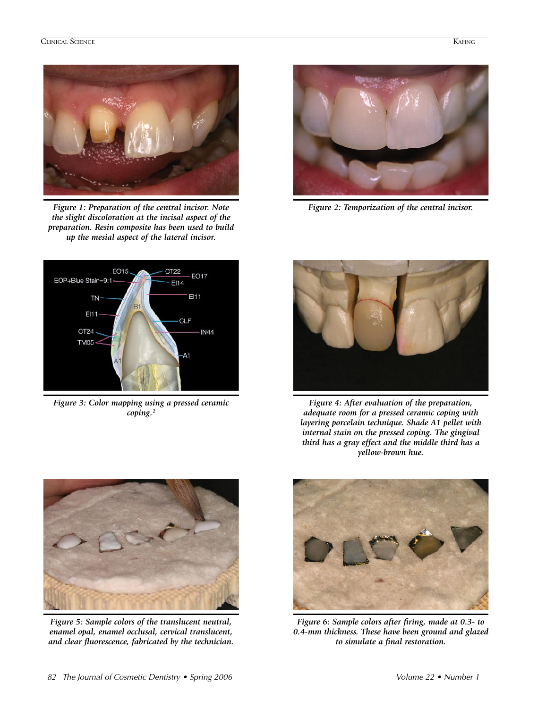

*Figure 1: Preparation of the central incisor. Note the slight discoloration at the incisal aspect of the preparation. Resin composite has been used to build up the mesial aspect of the lateral incisor.*



*Figure 2: Temporization of the central incisor.*



*Figure 3: Color mapping using a pressed ceramic coping.2*



*Figure 4: After evaluation of the preparation, adequate room for a pressed ceramic coping with layering porcelain technique. Shade A1 pellet with internal stain on the pressed coping. The gingival third has a gray effect and the middle third has a yellow-brown hue.*



*Figure 5: Sample colors of the translucent neutral, enamel opal, enamel occlusal, cervical translucent, and clear fluorescence, fabricated by the technician.* 



*Figure 6: Sample colors after firing, made at 0.3- to 0.4-mm thickness. These have been ground and glazed to simulate a final restoration.*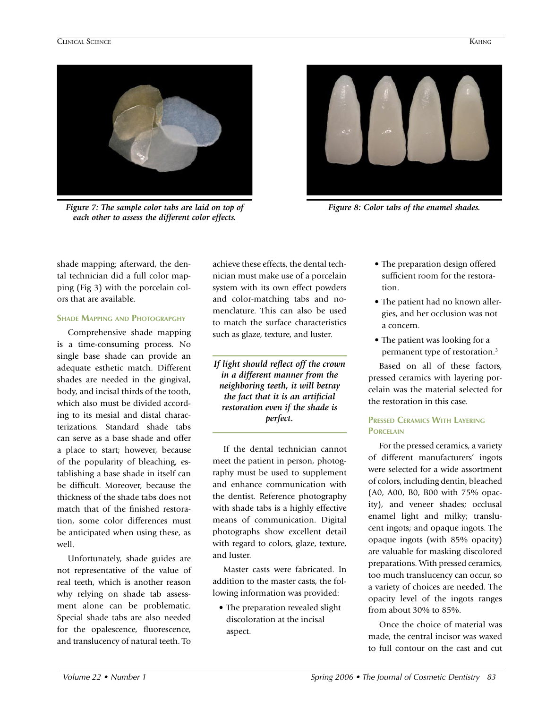

*Figure 7: The sample color tabs are laid on top of each other to assess the different color effects.*



*Figure 8: Color tabs of the enamel shades.*

shade mapping; afterward, the dental technician did a full color mapping (Fig 3) with the porcelain colors that are available.

## **Shade Mapping and Photograpghy**

Comprehensive shade mapping is a time-consuming process. No single base shade can provide an adequate esthetic match. Different shades are needed in the gingival, body, and incisal thirds of the tooth, which also must be divided according to its mesial and distal characterizations. Standard shade tabs can serve as a base shade and offer a place to start; however, because of the popularity of bleaching, establishing a base shade in itself can be difficult. Moreover, because the thickness of the shade tabs does not match that of the finished restoration, some color differences must be anticipated when using these, as well.

Unfortunately, shade guides are not representative of the value of real teeth, which is another reason why relying on shade tab assessment alone can be problematic. Special shade tabs are also needed for the opalescence, fluorescence, and translucency of natural teeth. To

achieve these effects, the dental technician must make use of a porcelain system with its own effect powders and color-matching tabs and nomenclature. This can also be used to match the surface characteristics such as glaze, texture, and luster.

*If light should reflect off the crown in a different manner from the neighboring teeth, it will betray the fact that it is an artificial restoration even if the shade is perfect.*

If the dental technician cannot meet the patient in person, photography must be used to supplement and enhance communication with the dentist. Reference photography with shade tabs is a highly effective means of communication. Digital photographs show excellent detail with regard to colors, glaze, texture, and luster.

Master casts were fabricated. In addition to the master casts, the following information was provided:

• The preparation revealed slight discoloration at the incisal aspect.

- The preparation design offered sufficient room for the restoration.
- The patient had no known allergies, and her occlusion was not a concern.
- The patient was looking for a permanent type of restoration.3

Based on all of these factors, pressed ceramics with layering porcelain was the material selected for the restoration in this case.

## **Pressed Ceramics With Layering Porcelain**

For the pressed ceramics, a variety of different manufacturers' ingots were selected for a wide assortment of colors, including dentin, bleached (A0, A00, B0, B00 with 75% opacity), and veneer shades; occlusal enamel light and milky; translucent ingots; and opaque ingots. The opaque ingots (with 85% opacity) are valuable for masking discolored preparations. With pressed ceramics, too much translucency can occur, so a variety of choices are needed. The opacity level of the ingots ranges from about 30% to 85%.

Once the choice of material was made, the central incisor was waxed to full contour on the cast and cut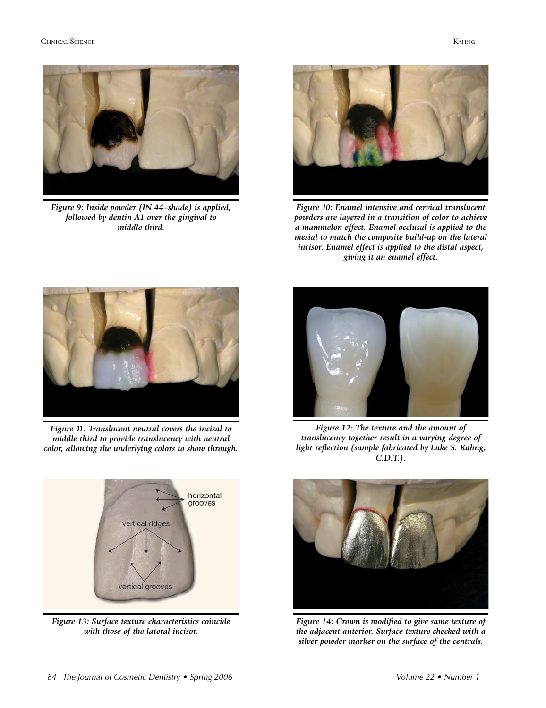

*Figure 9: Inside powder (IN 44–shade) is applied, followed by dentin A1 over the gingival to middle third.*



*Figure 10: Enamel intensive and cervical translucent powders are layered in a transition of color to achieve a mammelon effect. Enamel occlusal is applied to the mesial to match the composite build-up on the lateral incisor. Enamel effect is applied to the distal aspect, giving it an enamel effect.*



*Figure 11: Translucent neutral covers the incisal to middle third to provide translucency with neutral color, allowing the underlying colors to show through.*



*Figure 13: Surface texture characteristics coincide with those of the lateral incisor.*



*Figure 12: The texture and the amount of translucency together result in a varying degree of light reflection (sample fabricated by Luke S. Kahng, C.D.T.).*



*Figure 14: Crown is modified to give same texture of the adjacent anterior. Surface texture checked with a silver powder marker on the surface of the centrals.*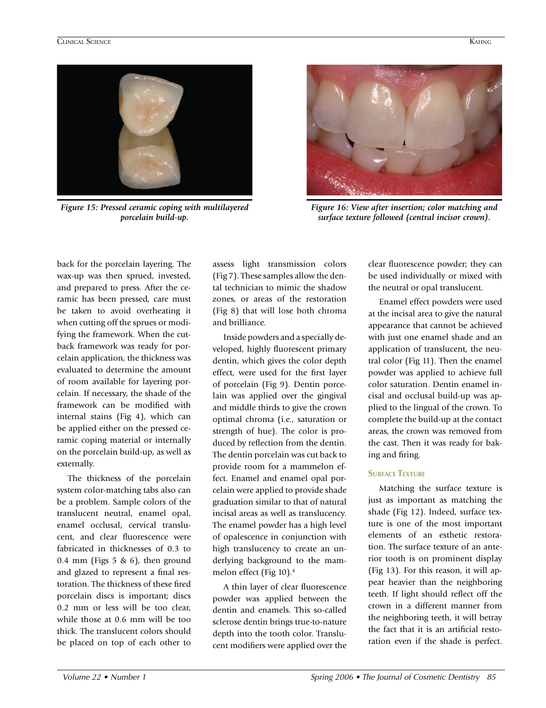

*Figure 15: Pressed ceramic coping with multilayered porcelain build-up.*



*Figure 16: View after insertion; color matching and surface texture followed (central incisor crown).*

back for the porcelain layering. The wax-up was then sprued, invested, and prepared to press. After the ceramic has been pressed, care must be taken to avoid overheating it when cutting off the sprues or modifying the framework. When the cutback framework was ready for porcelain application, the thickness was evaluated to determine the amount of room available for layering porcelain. If necessary, the shade of the framework can be modified with internal stains (Fig 4), which can be applied either on the pressed ceramic coping material or internally on the porcelain build-up, as well as externally.

The thickness of the porcelain system color-matching tabs also can be a problem. Sample colors of the translucent neutral, enamel opal, enamel occlusal, cervical translucent, and clear fluorescence were fabricated in thicknesses of 0.3 to 0.4 mm (Figs 5  $\&$  6), then ground and glazed to represent a final restoration. The thickness of these fired porcelain discs is important; discs 0.2 mm or less will be too clear, while those at 0.6 mm will be too thick. The translucent colors should be placed on top of each other to

assess light transmission colors (Fig 7). These samples allow the dental technician to mimic the shadow zones, or areas of the restoration (Fig 8) that will lose both chroma and brilliance.

Inside powders and a specially developed, highly fluorescent primary dentin, which gives the color depth effect, were used for the first layer of porcelain (Fig 9). Dentin porcelain was applied over the gingival and middle thirds to give the crown optimal chroma (i.e., saturation or strength of hue). The color is produced by reflection from the dentin. The dentin porcelain was cut back to provide room for a mammelon effect. Enamel and enamel opal porcelain were applied to provide shade graduation similar to that of natural incisal areas as well as translucency. The enamel powder has a high level of opalescence in conjunction with high translucency to create an underlying background to the mammelon effect (Fig 10).4

A thin layer of clear fluorescence powder was applied between the dentin and enamels. This so-called sclerose dentin brings true-to-nature depth into the tooth color. Translucent modifiers were applied over the clear fluorescence powder; they can be used individually or mixed with the neutral or opal translucent.

Enamel effect powders were used at the incisal area to give the natural appearance that cannot be achieved with just one enamel shade and an application of translucent, the neutral color (Fig 11). Then the enamel powder was applied to achieve full color saturation. Dentin enamel incisal and occlusal build-up was applied to the lingual of the crown. To complete the build-up at the contact areas, the crown was removed from the cast. Then it was ready for baking and firing.

## **Surface Texture**

Matching the surface texture is just as important as matching the shade (Fig 12). Indeed, surface texture is one of the most important elements of an esthetic restoration. The surface texture of an anterior tooth is on prominent display (Fig 13). For this reason, it will appear heavier than the neighboring teeth. If light should reflect off the crown in a different manner from the neighboring teeth, it will betray the fact that it is an artificial restoration even if the shade is perfect.